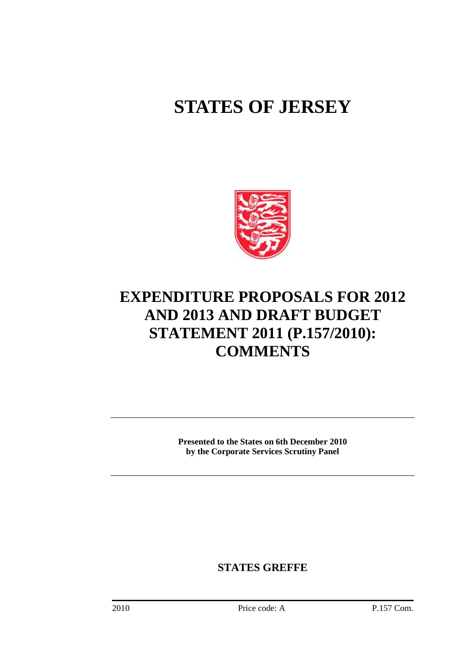## **STATES OF JERSEY**



## **EXPENDITURE PROPOSALS FOR 2012 AND 2013 AND DRAFT BUDGET STATEMENT 2011 (P.157/2010): COMMENTS**

**Presented to the States on 6th December 2010 by the Corporate Services Scrutiny Panel** 

**STATES GREFFE**